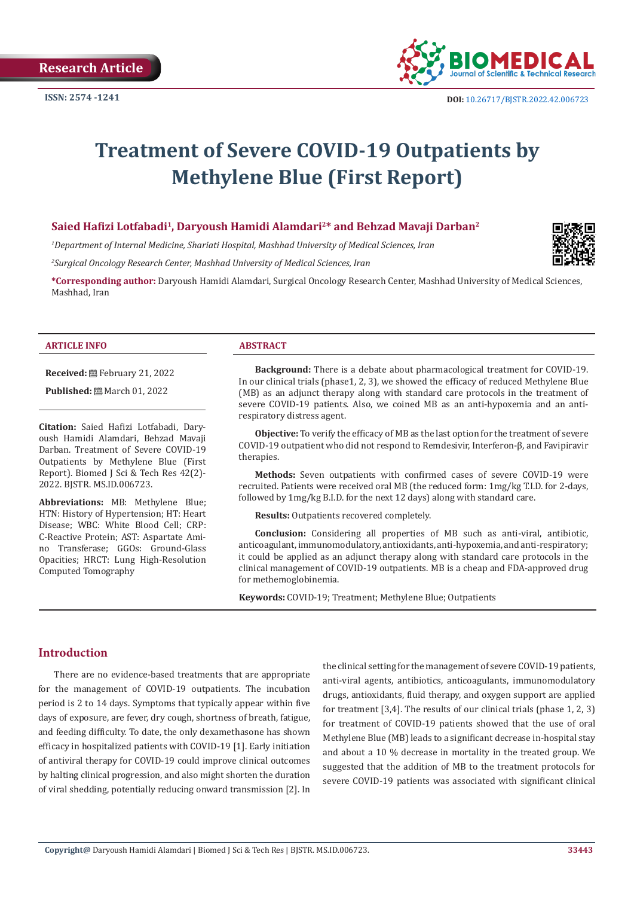

## **Treatment of Severe COVID-19 Outpatients by Methylene Blue (First Report)**

#### **Saied Hafizi Lotfabadi1, Daryoush Hamidi Alamdari2\* and Behzad Mavaji Darban<sup>2</sup>**

*1 Department of Internal Medicine, Shariati Hospital, Mashhad University of Medical Sciences, Iran*

*2 Surgical Oncology Research Center, Mashhad University of Medical Sciences, Iran*

**\*Corresponding author:** Daryoush Hamidi Alamdari, Surgical Oncology Research Center, Mashhad University of Medical Sciences, Mashhad, Iran

#### **ARTICLE INFO ABSTRACT**

**Received:** February 21, 2022

**Published:** ■ March 01, 2022

**Citation:** Saied Hafizi Lotfabadi, Daryoush Hamidi Alamdari, Behzad Mavaji Darban. Treatment of Severe COVID-19 Outpatients by Methylene Blue (First Report). Biomed J Sci & Tech Res 42(2)- 2022. BJSTR. MS.ID.006723.

**Abbreviations:** MB: Methylene Blue; HTN: History of Hypertension; HT: Heart Disease; WBC: White Blood Cell; CRP: C-Reactive Protein; AST: Aspartate Amino Transferase; GGOs: Ground-Glass Opacities; HRCT: Lung High-Resolution Computed Tomography

**Background:** There is a debate about pharmacological treatment for COVID-19. In our clinical trials (phase1, 2, 3), we showed the efficacy of reduced Methylene Blue (MB) as an adjunct therapy along with standard care protocols in the treatment of severe COVID-19 patients. Also, we coined MB as an anti-hypoxemia and an antirespiratory distress agent.

**Objective:** To verify the efficacy of MB as the last option for the treatment of severe COVID-19 outpatient who did not respond to Remdesivir, Interferon-β, and Favipiravir therapies.

**Methods:** Seven outpatients with confirmed cases of severe COVID-19 were recruited. Patients were received oral MB (the reduced form: 1mg/kg T.I.D. for 2-days, followed by 1mg/kg B.I.D. for the next 12 days) along with standard care.

**Results:** Outpatients recovered completely.

**Conclusion:** Considering all properties of MB such as anti-viral, antibiotic, anticoagulant, immunomodulatory, antioxidants, anti-hypoxemia, and anti-respiratory; it could be applied as an adjunct therapy along with standard care protocols in the clinical management of COVID-19 outpatients. MB is a cheap and FDA-approved drug for methemoglobinemia.

**Keywords:** COVID-19; Treatment; Methylene Blue; Outpatients

#### **Introduction**

There are no evidence-based treatments that are appropriate for the management of COVID-19 outpatients. The incubation period is 2 to 14 days. Symptoms that typically appear within five days of exposure, are fever, dry cough, shortness of breath, fatigue, and feeding difficulty. To date, the only dexamethasone has shown efficacy in hospitalized patients with COVID-19 [1]. Early initiation of antiviral therapy for COVID-19 could improve clinical outcomes by halting clinical progression, and also might shorten the duration of viral shedding, potentially reducing onward transmission [2]. In

the clinical setting for the management of severe COVID-19 patients, anti-viral agents, antibiotics, anticoagulants, immunomodulatory drugs, antioxidants, fluid therapy, and oxygen support are applied for treatment [3,4]. The results of our clinical trials (phase 1, 2, 3) for treatment of COVID-19 patients showed that the use of oral Methylene Blue (MB) leads to a significant decrease in-hospital stay and about a 10 % decrease in mortality in the treated group. We suggested that the addition of MB to the treatment protocols for severe COVID-19 patients was associated with significant clinical

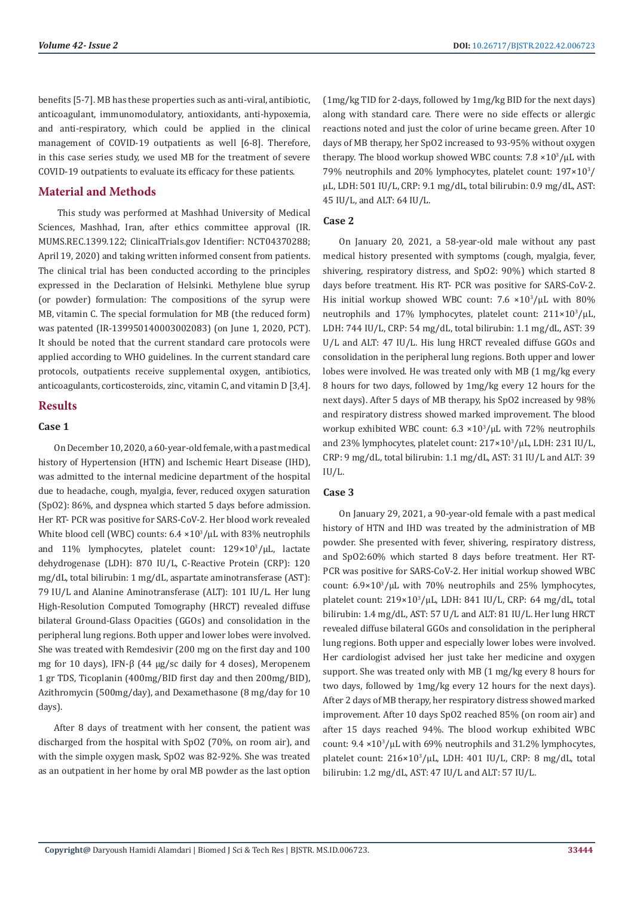benefits [5-7]. MB has these properties such as anti-viral, antibiotic, anticoagulant, immunomodulatory, antioxidants, anti-hypoxemia, and anti-respiratory, which could be applied in the clinical management of COVID-19 outpatients as well [6-8]. Therefore, in this case series study, we used MB for the treatment of severe COVID-19 outpatients to evaluate its efficacy for these patients.

#### **Material and Methods**

 This study was performed at Mashhad University of Medical Sciences, Mashhad, Iran, after ethics committee approval (IR. MUMS.REC.1399.122; ClinicalTrials.gov Identifier: NCT04370288; April 19, 2020) and taking written informed consent from patients. The clinical trial has been conducted according to the principles expressed in the Declaration of Helsinki. Methylene blue syrup (or powder) formulation: The compositions of the syrup were MB, vitamin C. The special formulation for MB (the reduced form) was patented (IR-139950140003002083) (on June 1, 2020, PCT). It should be noted that the current standard care protocols were applied according to WHO guidelines. In the current standard care protocols, outpatients receive supplemental oxygen, antibiotics, anticoagulants, corticosteroids, zinc, vitamin C, and vitamin D [3,4].

#### **Results**

#### **Case 1**

On December 10, 2020, a 60-year-old female, with a past medical history of Hypertension (HTN) and Ischemic Heart Disease (IHD), was admitted to the internal medicine department of the hospital due to headache, cough, myalgia, fever, reduced oxygen saturation (SpO2): 86%, and dyspnea which started 5 days before admission. Her RT- PCR was positive for SARS-CoV-2. Her blood work revealed White blood cell (WBC) counts:  $6.4 \times 10^{3}/\mu$ L with 83% neutrophils and 11% lymphocytes, platelet count: 129×10<sup>3</sup> /µL, lactate dehydrogenase (LDH): 870 IU/L, C-Reactive Protein (CRP): 120 mg/dL, total bilirubin: 1 mg/dL, aspartate aminotransferase (AST): 79 IU/L and Alanine Aminotransferase (ALT): 101 IU/L. Her lung High-Resolution Computed Tomography (HRCT) revealed diffuse bilateral Ground-Glass Opacities (GGOs) and consolidation in the peripheral lung regions. Both upper and lower lobes were involved. She was treated with Remdesivir (200 mg on the first day and 100 mg for 10 days), IFN-β (44 µg/sc daily for 4 doses), Meropenem 1 gr TDS, Ticoplanin (400mg/BID first day and then 200mg/BID), Azithromycin (500mg/day), and Dexamethasone (8 mg/day for 10 days).

After 8 days of treatment with her consent, the patient was discharged from the hospital with SpO2 (70%, on room air), and with the simple oxygen mask, SpO2 was 82-92%. She was treated as an outpatient in her home by oral MB powder as the last option (1mg/kg TID for 2-days, followed by 1mg/kg BID for the next days) along with standard care. There were no side effects or allergic reactions noted and just the color of urine became green. After 10 days of MB therapy, her SpO2 increased to 93-95% without oxygen therapy. The blood workup showed WBC counts:  $7.8 \times 10^3/\mu$ L with 79% neutrophils and 20% lymphocytes, platelet count:  $197\times10^{3}/$ µL, LDH: 501 IU/L, CRP: 9.1 mg/dL, total bilirubin: 0.9 mg/dL, AST: 45 IU/L, and ALT: 64 IU/L.

#### **Case 2**

On January 20, 2021, a 58-year-old male without any past medical history presented with symptoms (cough, myalgia, fever, shivering, respiratory distress, and SpO2: 90%) which started 8 days before treatment. His RT- PCR was positive for SARS-CoV-2. His initial workup showed WBC count:  $7.6 \times 10^3/\mu$ L with 80% neutrophils and 17% lymphocytes, platelet count: 211×10<sup>3</sup>/µL, LDH: 744 IU/L, CRP: 54 mg/dL, total bilirubin: 1.1 mg/dL, AST: 39 U/L and ALT: 47 IU/L. His lung HRCT revealed diffuse GGOs and consolidation in the peripheral lung regions. Both upper and lower lobes were involved. He was treated only with MB (1 mg/kg every 8 hours for two days, followed by 1mg/kg every 12 hours for the next days). After 5 days of MB therapy, his SpO2 increased by 98% and respiratory distress showed marked improvement. The blood workup exhibited WBC count: 6.3 ×10<sup>3</sup> /µL with 72% neutrophils and 23% lymphocytes, platelet count: 217×10<sup>3</sup> /µL, LDH: 231 IU/L, CRP: 9 mg/dL, total bilirubin: 1.1 mg/dL, AST: 31 IU/L and ALT: 39 IU/L.

#### **Case 3**

On January 29, 2021, a 90-year-old female with a past medical history of HTN and IHD was treated by the administration of MB powder. She presented with fever, shivering, respiratory distress, and SpO2:60% which started 8 days before treatment. Her RT-PCR was positive for SARS-CoV-2. Her initial workup showed WBC count:  $6.9 \times 10^{3}/\mu L$  with 70% neutrophils and 25% lymphocytes, platelet count: 219×10<sup>3</sup> /µL, LDH: 841 IU/L, CRP: 64 mg/dL, total bilirubin: 1.4 mg/dL, AST: 57 U/L and ALT: 81 IU/L. Her lung HRCT revealed diffuse bilateral GGOs and consolidation in the peripheral lung regions. Both upper and especially lower lobes were involved. Her cardiologist advised her just take her medicine and oxygen support. She was treated only with MB (1 mg/kg every 8 hours for two days, followed by 1mg/kg every 12 hours for the next days). After 2 days of MB therapy, her respiratory distress showed marked improvement. After 10 days SpO2 reached 85% (on room air) and after 15 days reached 94%. The blood workup exhibited WBC count:  $9.4 \times 10^{3}$ /µL with 69% neutrophils and 31.2% lymphocytes, platelet count: 216×10<sup>3</sup> /µL, LDH: 401 IU/L, CRP: 8 mg/dL, total bilirubin: 1.2 mg/dL, AST: 47 IU/L and ALT: 57 IU/L.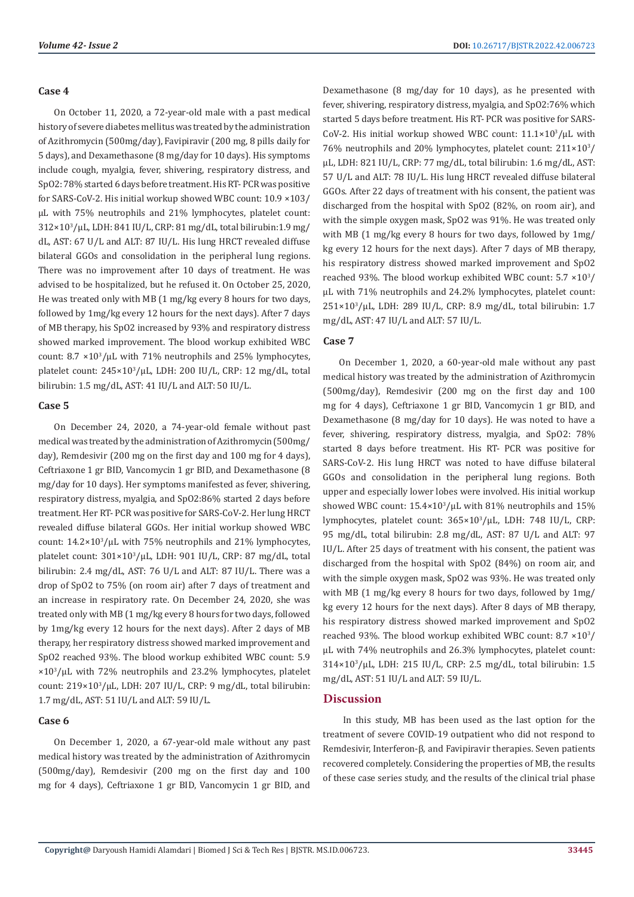#### **Case 4**

On October 11, 2020, a 72-year-old male with a past medical history of severe diabetes mellitus was treated by the administration of Azithromycin (500mg/day), Favipiravir (200 mg, 8 pills daily for 5 days), and Dexamethasone (8 mg/day for 10 days). His symptoms include cough, myalgia, fever, shivering, respiratory distress, and SpO2: 78% started 6 days before treatment. His RT- PCR was positive for SARS-CoV-2. His initial workup showed WBC count: 10.9 ×103/ µL with 75% neutrophils and 21% lymphocytes, platelet count: 312×10<sup>3</sup> /µL, LDH: 841 IU/L, CRP: 81 mg/dL, total bilirubin:1.9 mg/ dL, AST: 67 U/L and ALT: 87 IU/L. His lung HRCT revealed diffuse bilateral GGOs and consolidation in the peripheral lung regions. There was no improvement after 10 days of treatment. He was advised to be hospitalized, but he refused it. On October 25, 2020, He was treated only with MB (1 mg/kg every 8 hours for two days, followed by 1mg/kg every 12 hours for the next days). After 7 days of MB therapy, his SpO2 increased by 93% and respiratory distress showed marked improvement. The blood workup exhibited WBC count:  $8.7 \times 10^3/\mu L$  with 71% neutrophils and 25% lymphocytes, platelet count: 245×10<sup>3</sup>/µL, LDH: 200 IU/L, CRP: 12 mg/dL, total bilirubin: 1.5 mg/dL, AST: 41 IU/L and ALT: 50 IU/L.

#### **Case 5**

On December 24, 2020, a 74-year-old female without past medical was treated by the administration of Azithromycin (500mg/ day), Remdesivir (200 mg on the first day and 100 mg for 4 days), Ceftriaxone 1 gr BID, Vancomycin 1 gr BID, and Dexamethasone (8 mg/day for 10 days). Her symptoms manifested as fever, shivering, respiratory distress, myalgia, and SpO2:86% started 2 days before treatment. Her RT- PCR was positive for SARS-CoV-2. Her lung HRCT revealed diffuse bilateral GGOs. Her initial workup showed WBC count:  $14.2 \times 10^3/\mu L$  with 75% neutrophils and 21% lymphocytes, platelet count: 301×10<sup>3</sup> /µL, LDH: 901 IU/L, CRP: 87 mg/dL, total bilirubin: 2.4 mg/dL, AST: 76 U/L and ALT: 87 IU/L. There was a drop of SpO2 to 75% (on room air) after 7 days of treatment and an increase in respiratory rate. On December 24, 2020, she was treated only with MB (1 mg/kg every 8 hours for two days, followed by 1mg/kg every 12 hours for the next days). After 2 days of MB therapy, her respiratory distress showed marked improvement and SpO2 reached 93%. The blood workup exhibited WBC count: 5.9 ×10<sup>3</sup> /µL with 72% neutrophils and 23.2% lymphocytes, platelet count: 219×10<sup>3</sup> /µL, LDH: 207 IU/L, CRP: 9 mg/dL, total bilirubin: 1.7 mg/dL, AST: 51 IU/L and ALT: 59 IU/L.

#### **Case 6**

On December 1, 2020, a 67-year-old male without any past medical history was treated by the administration of Azithromycin (500mg/day), Remdesivir (200 mg on the first day and 100 mg for 4 days), Ceftriaxone 1 gr BID, Vancomycin 1 gr BID, and

Dexamethasone (8 mg/day for 10 days), as he presented with fever, shivering, respiratory distress, myalgia, and SpO2:76% which started 5 days before treatment. His RT- PCR was positive for SARS- $Cov-2$ . His initial workup showed WBC count:  $11.1\times10^{3}/\mu$ L with 76% neutrophils and 20% lymphocytes, platelet count:  $211\times10^{3}/$ µL, LDH: 821 IU/L, CRP: 77 mg/dL, total bilirubin: 1.6 mg/dL, AST: 57 U/L and ALT: 78 IU/L. His lung HRCT revealed diffuse bilateral GGOs. After 22 days of treatment with his consent, the patient was discharged from the hospital with SpO2 (82%, on room air), and with the simple oxygen mask, SpO2 was 91%. He was treated only with MB (1 mg/kg every 8 hours for two days, followed by 1mg/ kg every 12 hours for the next days). After 7 days of MB therapy, his respiratory distress showed marked improvement and SpO2 reached 93%. The blood workup exhibited WBC count:  $5.7 \times 10^{3}/$ µL with 71% neutrophils and 24.2% lymphocytes, platelet count: 251×10<sup>3</sup> /µL, LDH: 289 IU/L, CRP: 8.9 mg/dL, total bilirubin: 1.7 mg/dL, AST: 47 IU/L and ALT: 57 IU/L.

#### **Case 7**

On December 1, 2020, a 60-year-old male without any past medical history was treated by the administration of Azithromycin (500mg/day), Remdesivir (200 mg on the first day and 100 mg for 4 days), Ceftriaxone 1 gr BID, Vancomycin 1 gr BID, and Dexamethasone (8 mg/day for 10 days). He was noted to have a fever, shivering, respiratory distress, myalgia, and SpO2: 78% started 8 days before treatment. His RT- PCR was positive for SARS-CoV-2. His lung HRCT was noted to have diffuse bilateral GGOs and consolidation in the peripheral lung regions. Both upper and especially lower lobes were involved. His initial workup showed WBC count:  $15.4 \times 10^3/\mu L$  with 81% neutrophils and 15% lymphocytes, platelet count: 365×10<sup>3</sup>/µL, LDH: 748 IU/L, CRP: 95 mg/dL, total bilirubin: 2.8 mg/dL, AST: 87 U/L and ALT: 97 IU/L. After 25 days of treatment with his consent, the patient was discharged from the hospital with SpO2 (84%) on room air, and with the simple oxygen mask, SpO2 was 93%. He was treated only with MB (1 mg/kg every 8 hours for two days, followed by 1mg/ kg every 12 hours for the next days). After 8 days of MB therapy, his respiratory distress showed marked improvement and SpO2 reached 93%. The blood workup exhibited WBC count:  $8.7 \times 10^3 /$ µL with 74% neutrophils and 26.3% lymphocytes, platelet count: 314×10<sup>3</sup> /µL, LDH: 215 IU/L, CRP: 2.5 mg/dL, total bilirubin: 1.5 mg/dL, AST: 51 IU/L and ALT: 59 IU/L.

#### **Discussion**

 In this study, MB has been used as the last option for the treatment of severe COVID-19 outpatient who did not respond to Remdesivir, Interferon-β, and Favipiravir therapies. Seven patients recovered completely. Considering the properties of MB, the results of these case series study, and the results of the clinical trial phase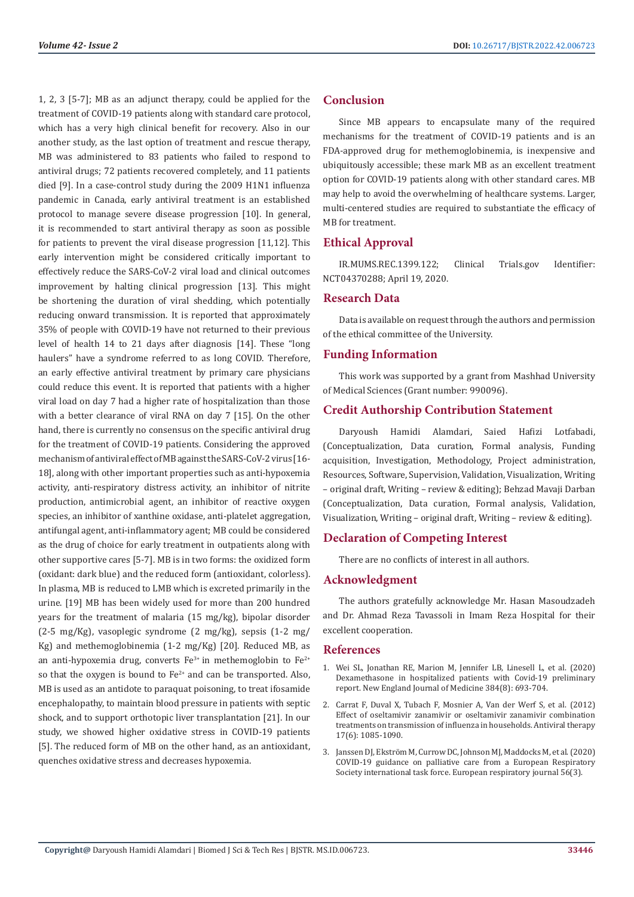1, 2, 3 [5-7]; MB as an adjunct therapy, could be applied for the treatment of COVID-19 patients along with standard care protocol, which has a very high clinical benefit for recovery. Also in our another study, as the last option of treatment and rescue therapy, MB was administered to 83 patients who failed to respond to antiviral drugs; 72 patients recovered completely, and 11 patients died [9]. In a case-control study during the 2009 H1N1 influenza pandemic in Canada, early antiviral treatment is an established protocol to manage severe disease progression [10]. In general, it is recommended to start antiviral therapy as soon as possible for patients to prevent the viral disease progression [11,12]. This early intervention might be considered critically important to effectively reduce the SARS-CoV-2 viral load and clinical outcomes improvement by halting clinical progression [13]. This might be shortening the duration of viral shedding, which potentially reducing onward transmission. It is reported that approximately 35% of people with COVID-19 have not returned to their previous level of health 14 to 21 days after diagnosis [14]. These "long haulers" have a syndrome referred to as long COVID. Therefore, an early effective antiviral treatment by primary care physicians could reduce this event. It is reported that patients with a higher viral load on day 7 had a higher rate of hospitalization than those with a better clearance of viral RNA on day 7 [15]. On the other hand, there is currently no consensus on the specific antiviral drug for the treatment of COVID-19 patients. Considering the approved mechanism of antiviral effect of MB against the SARS-CoV-2 virus [16- 18], along with other important properties such as anti-hypoxemia activity, anti-respiratory distress activity, an inhibitor of nitrite production, antimicrobial agent, an inhibitor of reactive oxygen species, an inhibitor of xanthine oxidase, anti-platelet aggregation, antifungal agent, anti-inflammatory agent; MB could be considered as the drug of choice for early treatment in outpatients along with other supportive cares [5-7]. MB is in two forms: the oxidized form (oxidant: dark blue) and the reduced form (antioxidant, colorless). In plasma, MB is reduced to LMB which is excreted primarily in the urine. [19] MB has been widely used for more than 200 hundred years for the treatment of malaria (15 mg/kg), bipolar disorder (2-5 mg/Kg), vasoplegic syndrome (2 mg/kg), sepsis (1-2 mg/ Kg) and methemoglobinemia (1-2 mg/Kg) [20]. Reduced MB, as an anti-hypoxemia drug, converts  $Fe^{3+}$  in methemoglobin to  $Fe^{2+}$ so that the oxygen is bound to  $Fe^{2+}$  and can be transported. Also, MB is used as an antidote to paraquat poisoning, to treat ifosamide encephalopathy, to maintain blood pressure in patients with septic shock, and to support orthotopic liver transplantation [21]. In our study, we showed higher oxidative stress in COVID-19 patients [5]. The reduced form of MB on the other hand, as an antioxidant, quenches oxidative stress and decreases hypoxemia.

### **Conclusion**

Since MB appears to encapsulate many of the required mechanisms for the treatment of COVID-19 patients and is an FDA-approved drug for methemoglobinemia, is inexpensive and ubiquitously accessible; these mark MB as an excellent treatment option for COVID-19 patients along with other standard cares. MB may help to avoid the overwhelming of healthcare systems. Larger, multi-centered studies are required to substantiate the efficacy of MB for treatment.

#### **Ethical Approval**

IR.MUMS.REC.1399.122; Clinical Trials.gov Identifier: NCT04370288; April 19, 2020.

#### **Research Data**

Data is available on request through the authors and permission of the ethical committee of the University.

#### **Funding Information**

This work was supported by a grant from Mashhad University of Medical Sciences (Grant number: 990096).

#### **Credit Authorship Contribution Statement**

Daryoush Hamidi Alamdari, Saied Hafizi Lotfabadi, (Conceptualization, Data curation, Formal analysis, Funding acquisition, Investigation, Methodology, Project administration, Resources, Software, Supervision, Validation, Visualization, Writing – original draft, Writing – review & editing); Behzad Mavaji Darban (Conceptualization, Data curation, Formal analysis, Validation, Visualization, Writing – original draft, Writing – review & editing).

#### **Declaration of Competing Interest**

There are no conflicts of interest in all authors.

#### **Acknowledgment**

The authors gratefully acknowledge Mr. Hasan Masoudzadeh and Dr. Ahmad Reza Tavassoli in Imam Reza Hospital for their excellent cooperation.

#### **References**

- 1. [Wei SL, Jonathan RE, Marion M, Jennifer LB, Linesell L, et al. \(2020\)](https://pubmed.ncbi.nlm.nih.gov/32678530/) [Dexamethasone in hospitalized patients with Covid-19 preliminary](https://pubmed.ncbi.nlm.nih.gov/32678530/) [report. New England Journal of Medicine 384\(8\): 693-704.](https://pubmed.ncbi.nlm.nih.gov/32678530/)
- 2. [Carrat F, Duval X, Tubach F, Mosnier A, Van der Werf S, et al. \(2012\)](https://pubmed.ncbi.nlm.nih.gov/22910171/) [Effect of oseltamivir zanamivir or oseltamivir zanamivir combination](https://pubmed.ncbi.nlm.nih.gov/22910171/) [treatments on transmission of influenza in households. Antiviral therapy](https://pubmed.ncbi.nlm.nih.gov/22910171/) [17\(6\): 1085-1090.](https://pubmed.ncbi.nlm.nih.gov/22910171/)
- 3. Janssen DJ, Ekströ[m M, Currow DC, Johnson MJ, Maddocks M, et al. \(2020\)](https://www.researchgate.net/publication/343002648_COVID-19_Guidance_on_Palliative_care_from_a_European_Respiratory_Society_International_Task_Force) [COVID-19 guidance on palliative care from a European Respiratory](https://www.researchgate.net/publication/343002648_COVID-19_Guidance_on_Palliative_care_from_a_European_Respiratory_Society_International_Task_Force) [Society international task force. European respiratory journal 56\(3\).](https://www.researchgate.net/publication/343002648_COVID-19_Guidance_on_Palliative_care_from_a_European_Respiratory_Society_International_Task_Force)